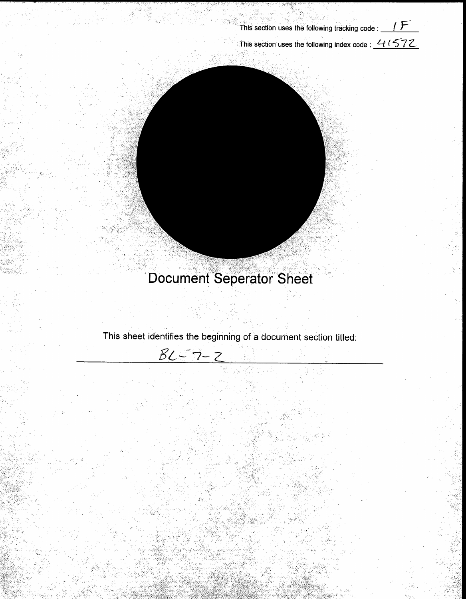

This section uses the following index code :  $41572$ 

# **Document Seperator Sheet**

This sheet identifies the beginning of a document section titled:

 $BL - 7 - 2$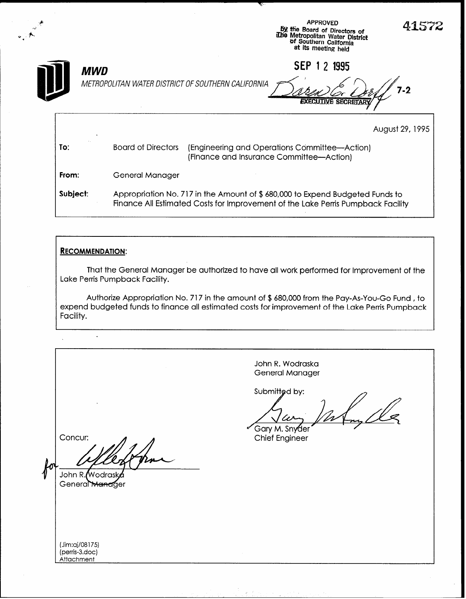|          |                                                                  | <b>APPROVED</b><br>by the Board of Directors of<br>ilhe Metropolitan Water District<br>of Southern California<br>at its meeting held                             | 41572           |
|----------|------------------------------------------------------------------|------------------------------------------------------------------------------------------------------------------------------------------------------------------|-----------------|
|          | <b>MWD</b><br>METROPOLITAN WATER DISTRICT OF SOUTHERN CALIFORNIA | 1995<br><b>SEP</b><br><b>EXECUTIVE SECRETAR</b>                                                                                                                  | '-2             |
|          |                                                                  |                                                                                                                                                                  | August 29, 1995 |
| To:      | <b>Board of Directors</b>                                        | (Engineering and Operations Committee-Action)<br>(Finance and Insurance Committee-Action)                                                                        |                 |
| From:    | General Manager                                                  |                                                                                                                                                                  |                 |
| Subject: |                                                                  | Appropriation No. 717 in the Amount of \$680,000 to Expend Budgeted Funds to<br>Finance All Estimated Costs for Improvement of the Lake Perris Pumpback Facility |                 |

## **RECOMMENDATION:**

That the General Manager be authorized to have all work performed for Improvement of the Lake Perris Pumpback Facility.

Authorize Appropriation No. 717 in the amount of \$680,000 from the Pay-As-You-Go Fund , to expend budgeted funds to finance all estimated costs for improvement of the Lake Perris Pumpback Facility.

 $\ddot{\phantom{a}}$ John R. Wodraska General Manager Submitted by: Gary M. Snyder Chief Engineer Concur: John R. Wodraske General Manager (Jim:aj/08 175) (perris-3.ac Attachment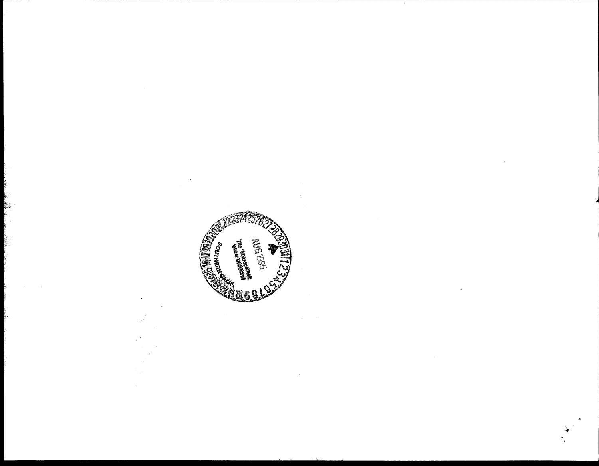

 $\hat{\vec{z}}$ 

 $\ddot{\phantom{a}}$ 

 $\bar{\mathbf{v}}$ 

ر<br>من

è.

- 大学教授

に動画 さい

 $\mathcal{A} \neq \mathcal{B}$  .

्रके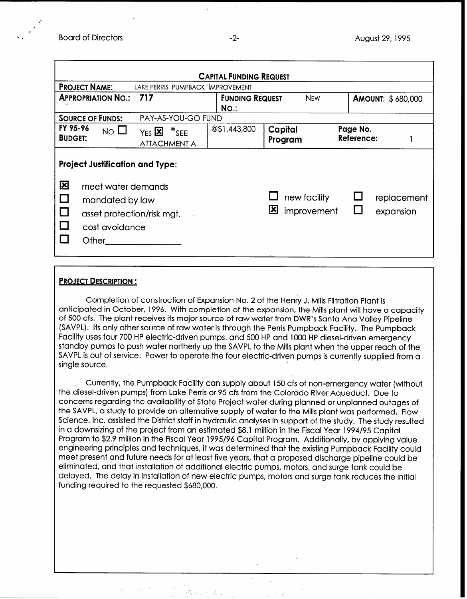| <b>CAPITAL FUNDING REQUEST</b>                                                                                                                          |                                                        |                                   |                                  |                          |  |  |  |
|---------------------------------------------------------------------------------------------------------------------------------------------------------|--------------------------------------------------------|-----------------------------------|----------------------------------|--------------------------|--|--|--|
| <b>PROJECT NAME:</b>                                                                                                                                    | LAKE PERRIS PUMPBACK IMPROVEMENT                       |                                   |                                  |                          |  |  |  |
| <b>APPROPRIATION NO.:</b><br>717                                                                                                                        |                                                        | <b>FUNDING REQUEST</b><br>$No.$ : | <b>NEW</b>                       | <b>AMOUNT: \$680,000</b> |  |  |  |
| <b>SOURCE OF FUNDS:</b>                                                                                                                                 | PAY-AS-YOU-GO FUND                                     |                                   |                                  |                          |  |  |  |
| FY 95-96<br>$NO$ $\Box$<br><b>BUDGET:</b>                                                                                                               | $Y_{ES}$ $\mathbb{Z}$ $*_{SEE}$<br><b>ATTACHMENT A</b> | @\$1,443,800                      | Capital<br>Program               | Page No.<br>Reference:   |  |  |  |
| <b>Project Justification and Type:</b><br>図<br>meet water demands<br>mandated by law<br>$\Box$<br>asset protection/risk mgt.<br>cost avoidance<br>Other |                                                        |                                   | new facility<br>凶<br>improvement | replacement<br>expansion |  |  |  |

#### PROJECT DESCRIPTION :

Completion of construction of Expansion No. 2 of the Henry J. Mills Filtration Plant is anticipated in October, 1996. With completion of the expansion, the Mills plant will have a capacity of 500 cfs. The plant receives its major source of raw water from DWR's Santa Ana Valley Pipeline (SAVPL). Its only other source of raw water is through the Perris Pumpback Facility. The Pumpback Facility uses four 700 HP electric-driven pumps, and 500 HP and 1000 HP diesel-driven emergency standby pumps to push water northerly up the SAVPL to the Mills plant when the upper reach of the SAVPL is out of service. Power to operate the four electric-driven pumps is currently supplied from a single source.

Currently, the Pumpback Facility can supply about 150 cfs of non-emergency water (without the diesel-driven pumps) from Lake Perris or 95 cfs from the Colorado River Aqueduct. Due to concerns regarding the availability of State Project water during planned or unplanned outages of the SAVPL, a study to provide an alternative supply of water to the Mills plant was performed. Flow Science, Inc. assisted the District staff in hydraulic analyses in support of the study. The study resulted in a downsizing of the project from an estimated \$8.1 million in the Fiscal Year 1994/95 Capital Program to \$2.9 million in the Fiscal Year 1995/96 Capital Program. Additionally, by applying value engineering principles and techniques, it was determined that the existing Pumpback Facility could meet present and future needs for at least five years, that a proposed discharge pipeline could be eliminated, and that installation of additional electric pumps, motors, and surge tank could be delayed. The delay in installation of new electric pumps, motors and surge tank reduces the initial funding required to the requested \$680,000.

,'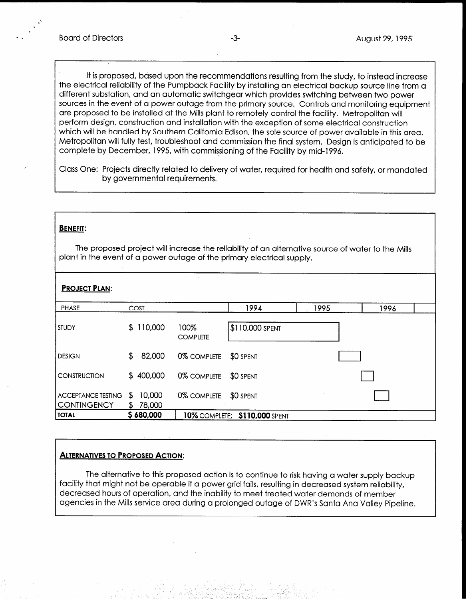It is proposed, based upon the recommendations resulting from the study, to instead increase the electrical reliability of the Pumpback Facility by installing an electrical backup source line from a different substation, and an automatic switchgear which provides switching between two power sources in the event of a power outage from the primary source. Controls and monitoring equipment are proposed to be installed at the Mills plant to remotely control the facility. Metropolitan will perform design, construction and installation with the exception of some electrical construction which will be handled by Southern California Edison, the sole source of power available in this area. Metropolitan will fully test, troubleshoot and commission the final system. Design is anticipated to be complete by December, 1995, with commissioning of the Facility by mid-l 996.

Class One: Projects directly related to delivery of water, required for health and safety, or mandated by governmental requirements.

#### BENEFIT:

The proposed project will increase the reliability of an alternative source of water to the Mills plant in the event of a power outage of the primary electrical supply.

| <b>PROJECT PLAN:</b>                            |    |                  |                         |                               |      |      |  |
|-------------------------------------------------|----|------------------|-------------------------|-------------------------------|------|------|--|
| <b>PHASE</b>                                    |    | COST             |                         | 1994                          | 1995 | 1996 |  |
| <b>STUDY</b>                                    | S. | 110,000          | 100%<br><b>COMPLETE</b> | \$110,000 SPENT               |      |      |  |
| <b>DESIGN</b>                                   | \$ | 82,000           | 0% COMPLETE             | \$0 SPENT                     |      |      |  |
| <b>CONSTRUCTION</b>                             |    | \$400,000        | 0% COMPLETE             | \$0 SPENT                     |      |      |  |
| <b>ACCEPTANCE TESTING</b><br><b>CONTINGENCY</b> | \$ | 10,000<br>78,000 | 0% COMPLETE             | \$0 SPENT                     |      |      |  |
| <b>TOTAL</b>                                    |    | \$680,000        |                         | 10% COMPLETE; \$110,000 SPENT |      |      |  |

### ALTERNATIVES TO PROPOSED ACTION:

The alternative to this proposed action is to continue to risk having a water supply backup facility that might not be operable if a power grid fails, resulting in decreased system reliability, decreased hours of operation, and the inability to meet treated water demands of member agencies in the Mills service area during a prolonged outage of DWR's Santa Ana Valley Pipeline.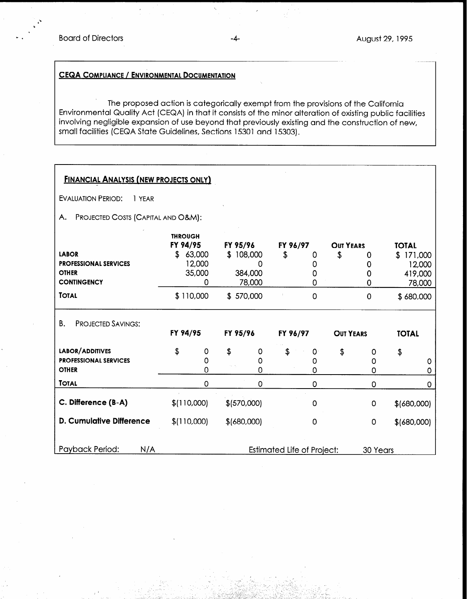# CEQA COMPLIANCE / ENVIRONMENTAL DOCUMENTATION

The proposed action is categorically exempt from the provisions of the California Environmental Quality Act (CEQA) in that it consists of the minor alteration of existing public facilities involving negligible expansion of use beyond that previously existing and the construction of new, small facilities (CEQA State Guidelines, Sections 15301 and 15303).

| <b>FINANCIAL ANALYSIS (NEW PROJECTS ONLY)</b>                                      |                                    |                                 |    |                                                 |                            |                                     |                        |                  |                                                          |
|------------------------------------------------------------------------------------|------------------------------------|---------------------------------|----|-------------------------------------------------|----------------------------|-------------------------------------|------------------------|------------------|----------------------------------------------------------|
| <b>EVALUATION PERIOD:</b><br>1 YEAR                                                |                                    |                                 |    |                                                 |                            |                                     |                        |                  |                                                          |
| А.                                                                                 | PROJECTED COSTS (CAPITAL AND O&M): |                                 |    |                                                 |                            |                                     |                        |                  |                                                          |
| <b>LABOR</b><br><b>PROFESSIONAL SERVICES</b><br><b>OTHER</b><br><b>CONTINGENCY</b> | <b>THROUGH</b><br>FY 94/95<br>\$   | 63,000<br>12,000<br>35,000<br>0 |    | FY 95/96<br>\$108,000<br>O<br>384,000<br>78,000 | FY 96/97<br>\$             | 0<br>0<br>0<br>0                    | <b>OUT YEARS</b><br>\$ | Ω<br>0<br>0<br>0 | <b>TOTAL</b><br>\$171,000<br>12,000<br>419,000<br>78,000 |
| <b>TOTAL</b>                                                                       |                                    | \$110,000                       |    | \$570,000                                       |                            | 0                                   |                        | $\mathbf 0$      | \$680,000                                                |
| <b>PROJECTED SAVINGS:</b><br>В.                                                    | FY 94/95                           |                                 |    | FY 95/96                                        | FY 96/97                   |                                     | <b>OUT YEARS</b>       |                  | <b>TOTAL</b>                                             |
| <b>LABOR/ADDITIVES</b><br><b>PROFESSIONAL SERVICES</b><br><b>OTHER</b>             | \$                                 | 0<br>0<br>0                     | \$ | 0<br>0<br>0                                     | \$                         | $\mathsf{O}^{\mathsf{c}}$<br>0<br>0 | \$                     | 0<br>0<br>0      | \$<br>0<br>0                                             |
| <b>TOTAL</b>                                                                       |                                    | 0                               |    | $\mathbf 0$                                     |                            | 0                                   |                        | 0                | 0                                                        |
| C. Difference (B-A)                                                                |                                    | \$(110,000)                     |    | \$ (570,000)                                    |                            | 0                                   |                        | 0                | \$(680,000)                                              |
| <b>D. Cumulative Difference</b>                                                    |                                    | \$(110,000)                     |    | \$(680,000)                                     |                            | 0                                   |                        | 0                | \$ (680,000)                                             |
| Payback Period:<br>N/A                                                             |                                    |                                 |    |                                                 | Estimated Life of Project: |                                     |                        | 30 Years         |                                                          |

\_ .I--. I, . :a' . ,\_ '-- \_~ -.